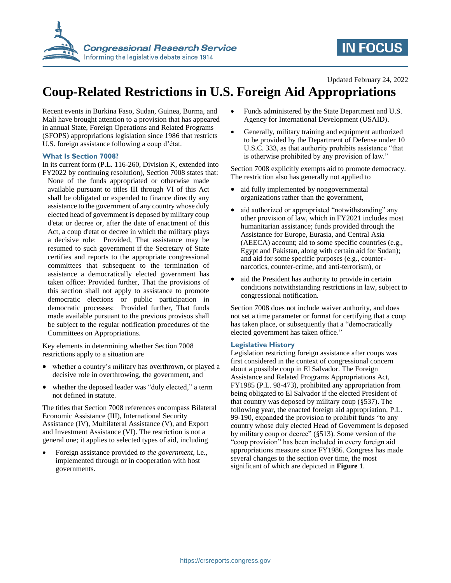

# **IN FOCUS**

### Updated February 24, 2022

# **Coup-Related Restrictions in U.S. Foreign Aid Appropriations**

Recent events in Burkina Faso, Sudan, Guinea, Burma, and Mali have brought attention to a provision that has appeared in annual State, Foreign Operations and Related Programs (SFOPS) appropriations legislation since 1986 that restricts U.S. foreign assistance following a coup d'état*.*

### **What Is Section 7008?**

- In its current form (P.L. 116-260, Division K, extended into FY2022 by continuing resolution), Section 7008 states that:
- None of the funds appropriated or otherwise made available pursuant to titles III through VI of this Act shall be obligated or expended to finance directly any assistance to the government of any country whose duly elected head of government is deposed by military coup d'etat or decree or, after the date of enactment of this Act, a coup d'etat or decree in which the military plays a decisive role: Provided, That assistance may be resumed to such government if the Secretary of State certifies and reports to the appropriate congressional committees that subsequent to the termination of assistance a democratically elected government has taken office: Provided further, That the provisions of this section shall not apply to assistance to promote democratic elections or public participation in democratic processes: Provided further, That funds made available pursuant to the previous provisos shall be subject to the regular notification procedures of the Committees on Appropriations.

Key elements in determining whether Section 7008 restrictions apply to a situation are

- whether a country's military has overthrown, or played a decisive role in overthrowing, the government, and
- whether the deposed leader was "duly elected," a term not defined in statute.

The titles that Section 7008 references encompass Bilateral Economic Assistance (III), International Security Assistance (IV), Multilateral Assistance (V), and Export and Investment Assistance (VI). The restriction is not a general one; it applies to selected types of aid, including

 Foreign assistance provided *to the government*, i.e., implemented through or in cooperation with host governments.

- Funds administered by the State Department and U.S. Agency for International Development (USAID).
- Generally, military training and equipment authorized to be provided by the Department of Defense under 10 U.S.C. 333, as that authority prohibits assistance "that is otherwise prohibited by any provision of law."

Section 7008 explicitly exempts aid to promote democracy. The restriction also has generally not applied to

- aid fully implemented by nongovernmental organizations rather than the government,
- aid authorized or appropriated "notwithstanding" any other provision of law, which in FY2021 includes most humanitarian assistance; funds provided through the Assistance for Europe, Eurasia, and Central Asia (AEECA) account; aid to some specific countries (e.g., Egypt and Pakistan, along with certain aid for Sudan); and aid for some specific purposes (e.g., counternarcotics, counter-crime, and anti-terrorism), or
- aid the President has authority to provide in certain conditions notwithstanding restrictions in law, subject to congressional notification.

Section 7008 does not include waiver authority, and does not set a time parameter or format for certifying that a coup has taken place, or subsequently that a "democratically elected government has taken office."

### **Legislative History**

Legislation restricting foreign assistance after coups was first considered in the context of congressional concern about a possible coup in El Salvador. The Foreign Assistance and Related Programs Appropriations Act, FY1985 (P.L. 98-473), prohibited any appropriation from being obligated to El Salvador if the elected President of that country was deposed by military coup (§537). The following year, the enacted foreign aid appropriation, P.L. 99-190, expanded the provision to prohibit funds "to any country whose duly elected Head of Government is deposed by military coup or decree" (§513). Some version of the "coup provision" has been included in every foreign aid appropriations measure since FY1986. Congress has made several changes to the section over time, the most significant of which are depicted in **Figure 1**.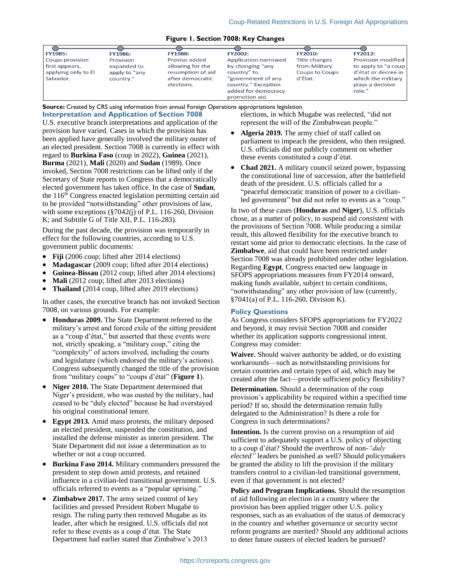#### **Figure 1. Section 7008: Key Changes**

| <b>FY1985:</b>      | <b>FY1986:</b> | <b>FY1988:</b>    | <b>FY2002:</b>       | <b>FY2010:</b> | <b>FY2012:</b>      |
|---------------------|----------------|-------------------|----------------------|----------------|---------------------|
| Coups provision     | Provision      | Proviso added     | Application narrowed | Title changes  | Provision modified  |
| first appears,      | expanded to    | allowing for the  | by changing "any     | from Military  | to apply to "a coup |
| applying only to El | apply to "any  | resumption of aid | country" to          | Coups to Coups | d'état or decree in |
| Salvador.           | country."      | after democratic  | "government of any   | d'État.        | which the military  |
|                     |                | elections.        | country." Exception  |                | plays a decisive    |
|                     |                |                   | added for democracy  |                | role."              |
|                     |                |                   | promotion aid        |                |                     |

**Source:** Created by CRS using information from annual Foreign Operations appropriations legislation.

**Interpretation and Application of Section 7008**

U.S. executive branch interpretations and application of the provision have varied. Cases in which the provision has been applied have generally involved the military ouster of an elected president. Section 7008 is currently in effect with regard to **Burkina Faso** (coup in 2022), **Guinea** (2021), **Burma** (2021), **Mali** (2020) and **Sudan** (1989). Once invoked, Section 7008 restrictions can be lifted only if the Secretary of State reports to Congress that a democratically elected government has taken office. In the case of **Sudan**, the 116th Congress enacted legislation permitting certain aid to be provided "notwithstanding" other provisions of law, with some exceptions (§7042(j) of P.L. 116-260, Division K; and Subtitle G of Title XII, P.L. 116-283).

During the past decade, the provision was temporarily in effect for the following countries, according to U.S. government public documents:

- **Fiji** (2006 coup; lifted after 2014 elections)
- **Madagascar** (2009 coup; lifted after 2014 elections)
- **Guinea-Bissau** (2012 coup; lifted after 2014 elections)
- **Mali** (2012 coup; lifted after 2013 elections)
- **Thailand** (2014 coup, lifted after 2019 elections)

In other cases, the executive branch has not invoked Section 7008, on various grounds. For example:

- **Honduras 2009.** The State Department referred to the military's arrest and forced exile of the sitting president as a "coup d'état," but asserted that these events were not, strictly speaking, a "military coup," citing the "complexity" of actors involved, including the courts and legislature (which endorsed the military's actions). Congress subsequently changed the title of the provision from "military coups" to "coups d'état" (**Figure 1**).
- **Niger 2010.** The State Department determined that Niger's president, who was ousted by the military, had ceased to be "duly elected" because he had overstayed his original constitutional tenure.
- **Egypt 2013.** Amid mass protests, the military deposed an elected president, suspended the constitution, and installed the defense minister as interim president. The State Department did not issue a determination as to whether or not a coup occurred.
- **Burkina Faso 2014.** Military commanders pressured the president to step down amid protests, and retained influence in a civilian-led transitional government. U.S. officials referred to events as a "popular uprising."
- **Zimbabwe 2017.** The army seized control of key facilities and pressed President Robert Mugabe to resign. The ruling party then removed Mugabe as its leader, after which he resigned. U.S. officials did not refer to these events as a coup d'état. The State Department had earlier stated that Zimbabwe's 2013

elections, in which Mugabe was reelected, "did not represent the will of the Zimbabwean people."

- **Algeria 2019.** The army chief of staff called on parliament to impeach the president, who then resigned. U.S. officials did not publicly comment on whether these events constituted a coup d'état.
- Chad 2021. A military council seized power, bypassing the constitutional line of succession, after the battlefield death of the president. U.S. officials called for a "peaceful democratic transition of power to a civilianled government" but did not refer to events as a "coup."

In two of these cases (**Honduras** and **Niger**), U.S. officials chose, as a matter of policy, to suspend aid *consistent* with the provisions of Section 7008. While producing a similar result, this allowed flexibility for the executive branch to restart some aid prior to democratic elections. In the case of **Zimbabwe**, aid that could have been restricted under Section 7008 was already prohibited under other legislation. Regarding **Egypt**, Congress enacted new language in SFOPS appropriations measures from FY2014 onward, making funds available, subject to certain conditions, "notwithstanding" any other provision of law (currently, §7041(a) of P.L. 116-260, Division K).

### **Policy Questions**

As Congress considers SFOPS appropriations for FY2022 and beyond, it may revisit Section 7008 and consider whether its application supports congressional intent. Congress may consider:

**Waiver.** Should waiver authority be added, or do existing workarounds—such as notwithstanding provisions for certain countries and certain types of aid, which may be created after the fact—provide sufficient policy flexibility?

**Determination.** Should a determination of the coup provision's applicability be required within a specified time period? If so, should the determination remain fully delegated to the Administration? Is there a role for Congress in such determinations?

**Intention.** Is the current proviso on a resumption of aid sufficient to adequately support a U.S. policy of objecting to a coup d'état? Should the overthrow of non-*"duly elected"* leaders be punished as well? Should policymakers be granted the ability to lift the provision if the military transfers control to a civilian-led transitional government, even if that government is not elected?

**Policy and Program Implications.** Should the resumption of aid following an election in a country where the provision has been applied trigger other U.S. policy responses, such as an evaluation of the status of democracy in the country and whether governance or security sector reform programs are merited? Should any additional actions to deter future ousters of elected leaders be pursued?